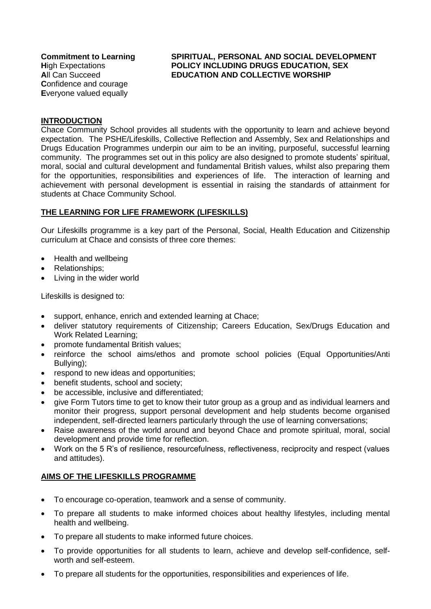## **Commitment to Learning SPIRITUAL, PERSONAL AND SOCIAL DEVELOPMENT H**igh Expectations **POLICY INCLUDING DRUGS EDUCATION, SEX A**ll Can Succeed **EDUCATION AND COLLECTIVE WORSHIP**

# **INTRODUCTION**

Chace Community School provides all students with the opportunity to learn and achieve beyond expectation. The PSHE/Lifeskills, Collective Reflection and Assembly, Sex and Relationships and Drugs Education Programmes underpin our aim to be an inviting, purposeful, successful learning community. The programmes set out in this policy are also designed to promote students' spiritual, moral, social and cultural development and fundamental British values, whilst also preparing them for the opportunities, responsibilities and experiences of life. The interaction of learning and achievement with personal development is essential in raising the standards of attainment for students at Chace Community School.

# **THE LEARNING FOR LIFE FRAMEWORK (LIFESKILLS)**

Our Lifeskills programme is a key part of the Personal, Social, Health Education and Citizenship curriculum at Chace and consists of three core themes:

- Health and wellbeing
- Relationships;
- Living in the wider world

Lifeskills is designed to:

- support, enhance, enrich and extended learning at Chace;
- deliver statutory requirements of Citizenship; Careers Education, Sex/Drugs Education and Work Related Learning;
- promote fundamental British values;
- reinforce the school aims/ethos and promote school policies (Equal Opportunities/Anti Bullying);
- respond to new ideas and opportunities;
- benefit students, school and society;
- be accessible, inclusive and differentiated;
- give Form Tutors time to get to know their tutor group as a group and as individual learners and monitor their progress, support personal development and help students become organised independent, self-directed learners particularly through the use of learning conversations;
- Raise awareness of the world around and bevond Chace and promote spiritual, moral, social development and provide time for reflection.
- Work on the 5 R's of resilience, resourcefulness, reflectiveness, reciprocity and respect (values and attitudes).

# **AIMS OF THE LIFESKILLS PROGRAMME**

- To encourage co-operation, teamwork and a sense of community.
- To prepare all students to make informed choices about healthy lifestyles, including mental health and wellbeing.
- To prepare all students to make informed future choices.
- To provide opportunities for all students to learn, achieve and develop self-confidence, selfworth and self-esteem.
- To prepare all students for the opportunities, responsibilities and experiences of life.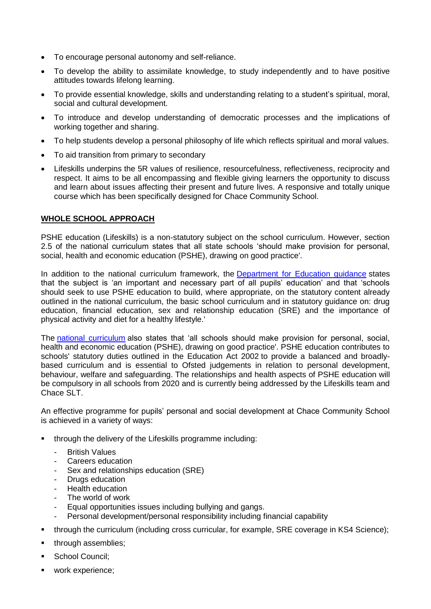- To encourage personal autonomy and self-reliance.
- To develop the ability to assimilate knowledge, to study independently and to have positive attitudes towards lifelong learning.
- To provide essential knowledge, skills and understanding relating to a student's spiritual, moral, social and cultural development.
- To introduce and develop understanding of democratic processes and the implications of working together and sharing.
- To help students develop a personal philosophy of life which reflects spiritual and moral values.
- To aid transition from primary to secondary
- Lifeskills underpins the 5R values of resilience, resourcefulness, reflectiveness, reciprocity and respect. It aims to be all encompassing and flexible giving learners the opportunity to discuss and learn about issues affecting their present and future lives. A responsive and totally unique course which has been specifically designed for Chace Community School.

# **WHOLE SCHOOL APPROACH**

PSHE education (Lifeskills) is a non-statutory subject on the school curriculum. However, section 2.5 of the national curriculum states that all state schools 'should make provision for personal, social, health and economic education (PSHE), drawing on good practice'.

In addition to the national curriculum framework, the [Department for Education guidance](https://www.gov.uk/government/publications/personal-social-health-and-economic-education-pshe/personal-social-health-and-economic-pshe-education) states that the subject is 'an important and necessary part of all pupils' education' and that 'schools should seek to use PSHE education to build, where appropriate, on the statutory content already outlined in the national curriculum, the basic school curriculum and in statutory guidance on: drug education, financial education, sex and relationship education (SRE) and the importance of physical activity and diet for a healthy lifestyle.'

The [national curriculum](https://www.gov.uk/government/collections/national-curriculum) also states that 'all schools should make provision for personal, social, health and economic education (PSHE), drawing on good practice'. PSHE education contributes to schools' statutory duties outlined in the Education Act 2002 to provide a balanced and broadlybased curriculum and is essential to Ofsted judgements in relation to personal development, behaviour, welfare and safeguarding. The relationships and health aspects of PSHE education will be compulsory in all schools from 2020 and is currently being addressed by the Lifeskills team and Chace SLT.

An effective programme for pupils' personal and social development at Chace Community School is achieved in a variety of ways:

- through the delivery of the Lifeskills programme including:
	- **British Values**
	- Careers education
	- Sex and relationships education (SRE)
	- Drugs education
	- Health education
	- The world of work
	- Equal opportunities issues including bullying and gangs.
	- Personal development/personal responsibility including financial capability
- through the curriculum (including cross curricular, for example, SRE coverage in KS4 Science);
- **through assemblies;**
- **School Council:**
- work experience: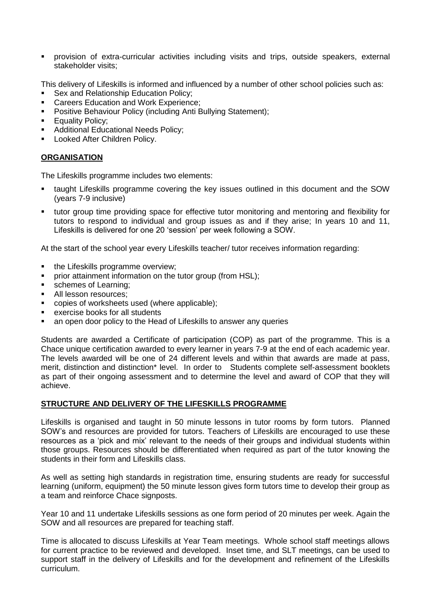provision of extra-curricular activities including visits and trips, outside speakers, external stakeholder visits;

This delivery of Lifeskills is informed and influenced by a number of other school policies such as:

- Sex and Relationship Education Policy;
- **EXEC** Careers Education and Work Experience;
- **Positive Behaviour Policy (including Anti Bullying Statement);**
- **Equality Policy;**
- **Additional Educational Needs Policy;**
- **-** Looked After Children Policy.

# **ORGANISATION**

The Lifeskills programme includes two elements:

- taught Lifeskills programme covering the key issues outlined in this document and the SOW (years 7-9 inclusive)
- tutor group time providing space for effective tutor monitoring and mentoring and flexibility for tutors to respond to individual and group issues as and if they arise; In years 10 and 11, Lifeskills is delivered for one 20 'session' per week following a SOW.

At the start of the school year every Lifeskills teacher/ tutor receives information regarding:

- the Lifeskills programme overview;
- prior attainment information on the tutor group (from HSL);
- **schemes of Learning;**
- All lesson resources:
- copies of worksheets used (where applicable);
- exercise books for all students
- an open door policy to the Head of Lifeskills to answer any queries

Students are awarded a Certificate of participation (COP) as part of the programme. This is a Chace unique certification awarded to every learner in years 7-9 at the end of each academic year. The levels awarded will be one of 24 different levels and within that awards are made at pass, merit, distinction and distinction\* level. In order to Students complete self-assessment booklets as part of their ongoing assessment and to determine the level and award of COP that they will achieve.

# **STRUCTURE AND DELIVERY OF THE LIFESKILLS PROGRAMME**

Lifeskills is organised and taught in 50 minute lessons in tutor rooms by form tutors. Planned SOW's and resources are provided for tutors. Teachers of Lifeskills are encouraged to use these resources as a 'pick and mix' relevant to the needs of their groups and individual students within those groups. Resources should be differentiated when required as part of the tutor knowing the students in their form and Lifeskills class.

As well as setting high standards in registration time, ensuring students are ready for successful learning (uniform, equipment) the 50 minute lesson gives form tutors time to develop their group as a team and reinforce Chace signposts.

Year 10 and 11 undertake Lifeskills sessions as one form period of 20 minutes per week. Again the SOW and all resources are prepared for teaching staff.

Time is allocated to discuss Lifeskills at Year Team meetings. Whole school staff meetings allows for current practice to be reviewed and developed. Inset time, and SLT meetings, can be used to support staff in the delivery of Lifeskills and for the development and refinement of the Lifeskills curriculum.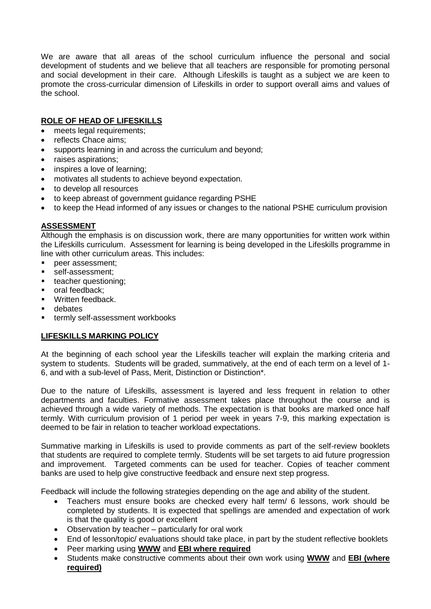We are aware that all areas of the school curriculum influence the personal and social development of students and we believe that all teachers are responsible for promoting personal and social development in their care. Although Lifeskills is taught as a subject we are keen to promote the cross-curricular dimension of Lifeskills in order to support overall aims and values of the school.

# **ROLE OF HEAD OF LIFESKILLS**

- meets legal requirements;
- reflects Chace aims;
- supports learning in and across the curriculum and beyond;
- raises aspirations;
- inspires a love of learning;
- motivates all students to achieve beyond expectation.
- to develop all resources
- to keep abreast of government guidance regarding PSHE
- to keep the Head informed of any issues or changes to the national PSHE curriculum provision

# **ASSESSMENT**

Although the emphasis is on discussion work, there are many opportunities for written work within the Lifeskills curriculum. Assessment for learning is being developed in the Lifeskills programme in line with other curriculum areas. This includes:

- peer assessment;
- self-assessment;
- **teacher questioning;**
- oral feedback:
- **Nitten feedback**
- **n** debates
- **termly self-assessment workbooks**

# **LIFESKILLS MARKING POLICY**

At the beginning of each school year the Lifeskills teacher will explain the marking criteria and system to students. Students will be graded, summatively, at the end of each term on a level of 1- 6, and with a sub-level of Pass, Merit, Distinction or Distinction\*.

Due to the nature of Lifeskills, assessment is layered and less frequent in relation to other departments and faculties. Formative assessment takes place throughout the course and is achieved through a wide variety of methods. The expectation is that books are marked once half termly. With curriculum provision of 1 period per week in years 7-9, this marking expectation is deemed to be fair in relation to teacher workload expectations.

Summative marking in Lifeskills is used to provide comments as part of the self-review booklets that students are required to complete termly. Students will be set targets to aid future progression and improvement. Targeted comments can be used for teacher. Copies of teacher comment banks are used to help give constructive feedback and ensure next step progress.

Feedback will include the following strategies depending on the age and ability of the student.

- Teachers must ensure books are checked every half term/ 6 lessons, work should be completed by students. It is expected that spellings are amended and expectation of work is that the quality is good or excellent
- Observation by teacher particularly for oral work
- End of lesson/topic/ evaluations should take place, in part by the student reflective booklets
- Peer marking using **WWW** and **EBI where required**
- Students make constructive comments about their own work using **WWW** and **EBI (where required)**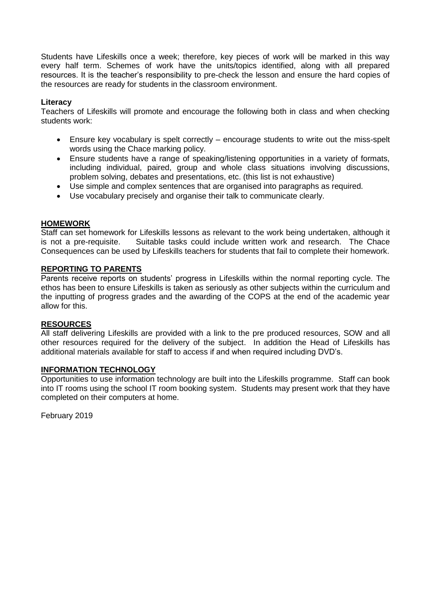Students have Lifeskills once a week; therefore, key pieces of work will be marked in this way every half term. Schemes of work have the units/topics identified, along with all prepared resources. It is the teacher's responsibility to pre-check the lesson and ensure the hard copies of the resources are ready for students in the classroom environment.

# **Literacy**

Teachers of Lifeskills will promote and encourage the following both in class and when checking students work:

- Ensure key vocabulary is spelt correctly encourage students to write out the miss-spelt words using the Chace marking policy.
- Ensure students have a range of speaking/listening opportunities in a variety of formats, including individual, paired, group and whole class situations involving discussions, problem solving, debates and presentations, etc. (this list is not exhaustive)
- Use simple and complex sentences that are organised into paragraphs as required.
- Use vocabulary precisely and organise their talk to communicate clearly.

# **HOMEWORK**

Staff can set homework for Lifeskills lessons as relevant to the work being undertaken, although it is not a pre-requisite. Suitable tasks could include written work and research. The Chace Consequences can be used by Lifeskills teachers for students that fail to complete their homework.

## **REPORTING TO PARENTS**

Parents receive reports on students' progress in Lifeskills within the normal reporting cycle. The ethos has been to ensure Lifeskills is taken as seriously as other subjects within the curriculum and the inputting of progress grades and the awarding of the COPS at the end of the academic year allow for this.

### **RESOURCES**

All staff delivering Lifeskills are provided with a link to the pre produced resources, SOW and all other resources required for the delivery of the subject. In addition the Head of Lifeskills has additional materials available for staff to access if and when required including DVD's.

### **INFORMATION TECHNOLOGY**

Opportunities to use information technology are built into the Lifeskills programme. Staff can book into IT rooms using the school IT room booking system. Students may present work that they have completed on their computers at home.

February 2019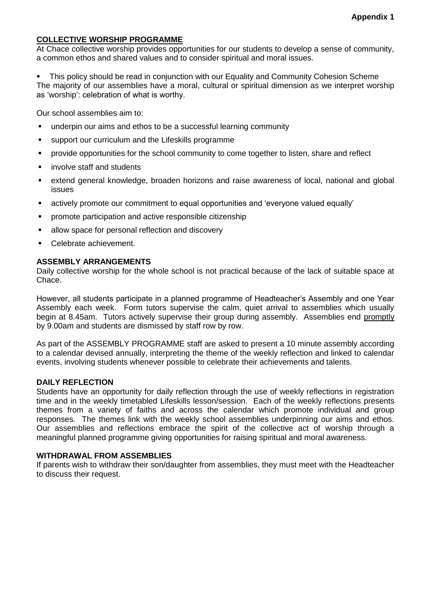# **COLLECTIVE WORSHIP PROGRAMME**

At Chace collective worship provides opportunities for our students to develop a sense of community, a common ethos and shared values and to consider spiritual and moral issues.

 This policy should be read in conjunction with our Equality and Community Cohesion Scheme The majority of our assemblies have a moral, cultural or spiritual dimension as we interpret worship as 'worship': celebration of what is worthy.

Our school assemblies aim to:

- underpin our aims and ethos to be a successful learning community
- support our curriculum and the Lifeskills programme
- **Perovide opportunities for the school community to come together to listen, share and reflect**
- involve staff and students
- extend general knowledge, broaden horizons and raise awareness of local, national and global issues
- actively promote our commitment to equal opportunities and 'everyone valued equally'
- promote participation and active responsible citizenship
- allow space for personal reflection and discovery
- Celebrate achievement.

## **ASSEMBLY ARRANGEMENTS**

Daily collective worship for the whole school is not practical because of the lack of suitable space at Chace.

However, all students participate in a planned programme of Headteacher's Assembly and one Year Assembly each week. Form tutors supervise the calm, quiet arrival to assemblies which usually begin at 8.45am. Tutors actively supervise their group during assembly. Assemblies end promptly by 9.00am and students are dismissed by staff row by row.

As part of the ASSEMBLY PROGRAMME staff are asked to present a 10 minute assembly according to a calendar devised annually, interpreting the theme of the weekly reflection and linked to calendar events, involving students whenever possible to celebrate their achievements and talents.

### **DAILY REFLECTION**

Students have an opportunity for daily reflection through the use of weekly reflections in registration time and in the weekly timetabled Lifeskills lesson/session. Each of the weekly reflections presents themes from a variety of faiths and across the calendar which promote individual and group responses. The themes link with the weekly school assemblies underpinning our aims and ethos. Our assemblies and reflections embrace the spirit of the collective act of worship through a meaningful planned programme giving opportunities for raising spiritual and moral awareness.

### **WITHDRAWAL FROM ASSEMBLIES**

If parents wish to withdraw their son/daughter from assemblies, they must meet with the Headteacher to discuss their request.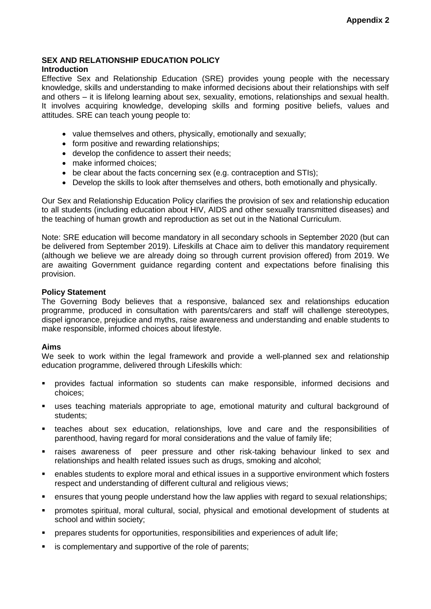# **SEX AND RELATIONSHIP EDUCATION POLICY**

## **Introduction**

Effective Sex and Relationship Education (SRE) provides young people with the necessary knowledge, skills and understanding to make informed decisions about their relationships with self and others – it is lifelong learning about sex, sexuality, emotions, relationships and sexual health. It involves acquiring knowledge, developing skills and forming positive beliefs, values and attitudes. SRE can teach young people to:

- value themselves and others, physically, emotionally and sexually;
- form positive and rewarding relationships;
- develop the confidence to assert their needs;
- make informed choices:
- be clear about the facts concerning sex (e.g. contraception and STIs);
- Develop the skills to look after themselves and others, both emotionally and physically.

Our Sex and Relationship Education Policy clarifies the provision of sex and relationship education to all students (including education about HIV, AIDS and other sexually transmitted diseases) and the teaching of human growth and reproduction as set out in the National Curriculum.

Note: SRE education will become mandatory in all secondary schools in September 2020 (but can be delivered from September 2019). Lifeskills at Chace aim to deliver this mandatory requirement (although we believe we are already doing so through current provision offered) from 2019. We are awaiting Government guidance regarding content and expectations before finalising this provision.

## **Policy Statement**

The Governing Body believes that a responsive, balanced sex and relationships education programme, produced in consultation with parents/carers and staff will challenge stereotypes, dispel ignorance, prejudice and myths, raise awareness and understanding and enable students to make responsible, informed choices about lifestyle.

# **Aims**

We seek to work within the legal framework and provide a well-planned sex and relationship education programme, delivered through Lifeskills which:

- provides factual information so students can make responsible, informed decisions and choices;
- uses teaching materials appropriate to age, emotional maturity and cultural background of students;
- teaches about sex education, relationships, love and care and the responsibilities of parenthood, having regard for moral considerations and the value of family life;
- raises awareness of peer pressure and other risk-taking behaviour linked to sex and relationships and health related issues such as drugs, smoking and alcohol;
- enables students to explore moral and ethical issues in a supportive environment which fosters respect and understanding of different cultural and religious views;
- ensures that young people understand how the law applies with regard to sexual relationships;
- promotes spiritual, moral cultural, social, physical and emotional development of students at school and within society;
- prepares students for opportunities, responsibilities and experiences of adult life;
- **is complementary and supportive of the role of parents;**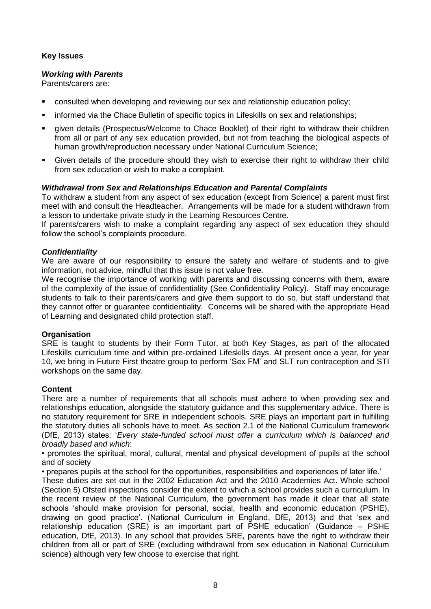# **Key Issues**

## *Working with Parents*

Parents/carers are:

- **EXEDENT** consulted when developing and reviewing our sex and relationship education policy;
- **EXEDENT Informed via the Chace Bulletin of specific topics in Lifeskills on sex and relationships;**
- given details (Prospectus/Welcome to Chace Booklet) of their right to withdraw their children from all or part of any sex education provided, but not from teaching the biological aspects of human growth/reproduction necessary under National Curriculum Science;
- Given details of the procedure should they wish to exercise their right to withdraw their child from sex education or wish to make a complaint.

# *Withdrawal from Sex and Relationships Education and Parental Complaints*

To withdraw a student from any aspect of sex education (except from Science) a parent must first meet with and consult the Headteacher. Arrangements will be made for a student withdrawn from a lesson to undertake private study in the Learning Resources Centre.

If parents/carers wish to make a complaint regarding any aspect of sex education they should follow the school's complaints procedure.

## *Confidentiality*

We are aware of our responsibility to ensure the safety and welfare of students and to give information, not advice, mindful that this issue is not value free.

We recognise the importance of working with parents and discussing concerns with them, aware of the complexity of the issue of confidentiality (See Confidentiality Policy). Staff may encourage students to talk to their parents/carers and give them support to do so, but staff understand that they cannot offer or guarantee confidentiality. Concerns will be shared with the appropriate Head of Learning and designated child protection staff.

### **Organisation**

SRE is taught to students by their Form Tutor, at both Key Stages, as part of the allocated Lifeskills curriculum time and within pre-ordained Lifeskills days. At present once a year, for year 10, we bring in Future First theatre group to perform 'Sex FM' and SLT run contraception and STI workshops on the same day.

### **Content**

There are a number of requirements that all schools must adhere to when providing sex and relationships education, alongside the statutory guidance and this supplementary advice. There is no statutory requirement for SRE in independent schools. SRE plays an important part in fulfilling the statutory duties all schools have to meet. As section 2.1 of the National Curriculum framework (DfE, 2013) states: '*Every state-funded school must offer a curriculum which is balanced and broadly based and which*:

• promotes the spiritual, moral, cultural, mental and physical development of pupils at the school and of society

• prepares pupils at the school for the opportunities, responsibilities and experiences of later life.'

These duties are set out in the 2002 Education Act and the 2010 Academies Act. Whole school (Section 5) Ofsted inspections consider the extent to which a school provides such a curriculum. In the recent review of the National Curriculum, the government has made it clear that all state schools 'should make provision for personal, social, health and economic education (PSHE), drawing on good practice'. (National Curriculum in England, DfE, 2013) and that 'sex and relationship education (SRE) is an important part of PSHE education' (Guidance – PSHE education, DfE, 2013). In any school that provides SRE, parents have the right to withdraw their children from all or part of SRE (excluding withdrawal from sex education in National Curriculum science) although very few choose to exercise that right.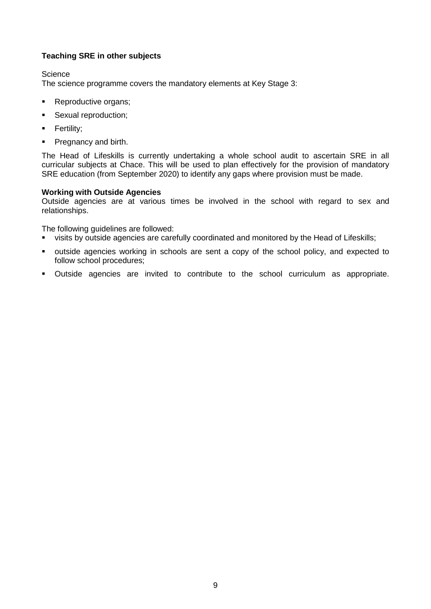# **Teaching SRE in other subjects**

**Science** 

The science programme covers the mandatory elements at Key Stage 3:

- **Reproductive organs;**
- Sexual reproduction;
- **Fertility;**
- **Pregnancy and birth.**

The Head of Lifeskills is currently undertaking a whole school audit to ascertain SRE in all curricular subjects at Chace. This will be used to plan effectively for the provision of mandatory SRE education (from September 2020) to identify any gaps where provision must be made.

# **Working with Outside Agencies**

Outside agencies are at various times be involved in the school with regard to sex and relationships.

The following guidelines are followed:

- visits by outside agencies are carefully coordinated and monitored by the Head of Lifeskills;
- outside agencies working in schools are sent a copy of the school policy, and expected to follow school procedures;
- Outside agencies are invited to contribute to the school curriculum as appropriate.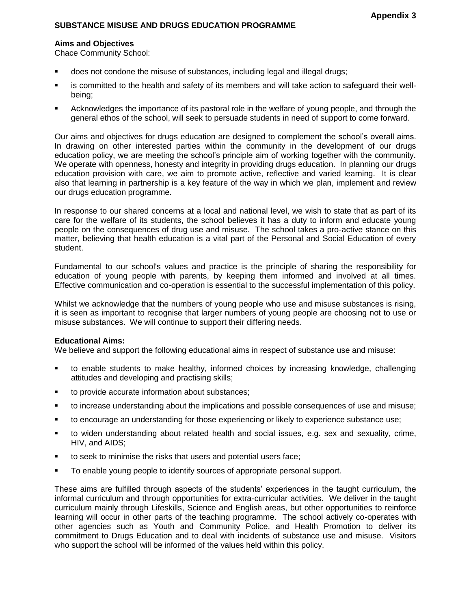### **SUBSTANCE MISUSE AND DRUGS EDUCATION PROGRAMME**

#### **Aims and Objectives**

Chace Community School:

- does not condone the misuse of substances, including legal and illegal drugs;
- is committed to the health and safety of its members and will take action to safeguard their wellbeing;
- Acknowledges the importance of its pastoral role in the welfare of young people, and through the general ethos of the school, will seek to persuade students in need of support to come forward.

Our aims and objectives for drugs education are designed to complement the school's overall aims. In drawing on other interested parties within the community in the development of our drugs education policy, we are meeting the school's principle aim of working together with the community. We operate with openness, honesty and integrity in providing drugs education. In planning our drugs education provision with care, we aim to promote active, reflective and varied learning. It is clear also that learning in partnership is a key feature of the way in which we plan, implement and review our drugs education programme.

In response to our shared concerns at a local and national level, we wish to state that as part of its care for the welfare of its students, the school believes it has a duty to inform and educate young people on the consequences of drug use and misuse. The school takes a pro-active stance on this matter, believing that health education is a vital part of the Personal and Social Education of every student.

Fundamental to our school's values and practice is the principle of sharing the responsibility for education of young people with parents, by keeping them informed and involved at all times. Effective communication and co-operation is essential to the successful implementation of this policy.

Whilst we acknowledge that the numbers of young people who use and misuse substances is rising, it is seen as important to recognise that larger numbers of young people are choosing not to use or misuse substances. We will continue to support their differing needs.

#### **Educational Aims:**

We believe and support the following educational aims in respect of substance use and misuse:

- to enable students to make healthy, informed choices by increasing knowledge, challenging attitudes and developing and practising skills;
- to provide accurate information about substances;
- to increase understanding about the implications and possible consequences of use and misuse;
- to encourage an understanding for those experiencing or likely to experience substance use;
- to widen understanding about related health and social issues, e.g. sex and sexuality, crime, HIV, and AIDS;
- to seek to minimise the risks that users and potential users face;
- To enable young people to identify sources of appropriate personal support.

These aims are fulfilled through aspects of the students' experiences in the taught curriculum, the informal curriculum and through opportunities for extra-curricular activities. We deliver in the taught curriculum mainly through Lifeskills, Science and English areas, but other opportunities to reinforce learning will occur in other parts of the teaching programme. The school actively co-operates with other agencies such as Youth and Community Police, and Health Promotion to deliver its commitment to Drugs Education and to deal with incidents of substance use and misuse. Visitors who support the school will be informed of the values held within this policy.